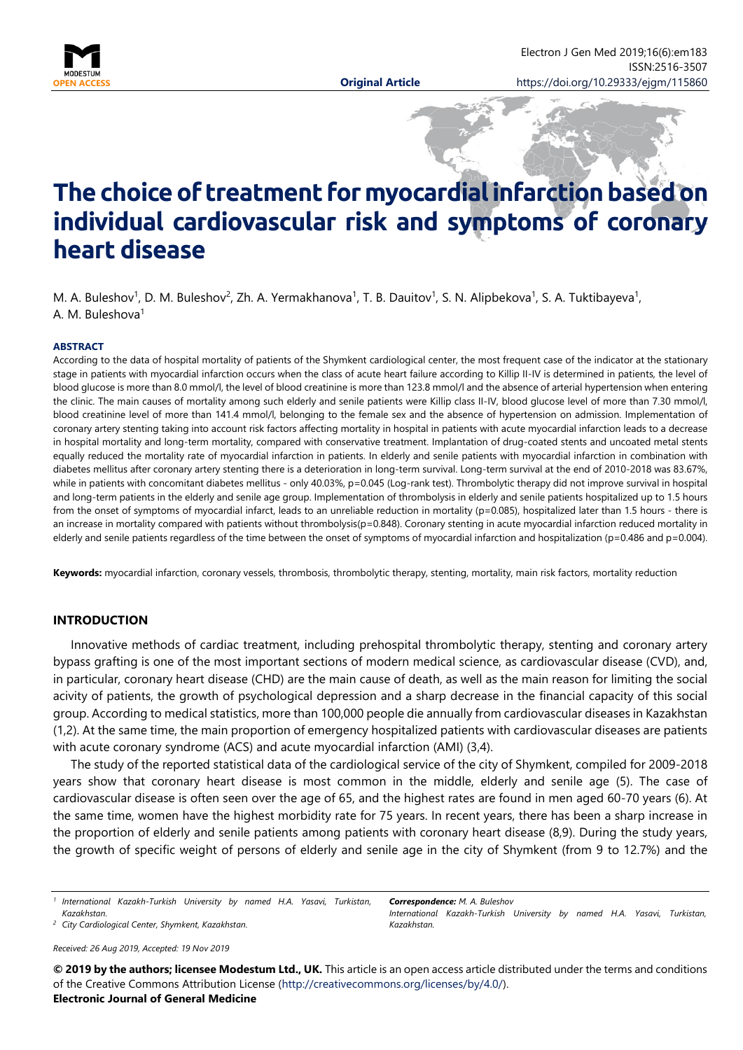

# **The choiceof treatment formyocardialinfarctionbasedon individual cardiovascular risk and symptoms of coronary heart disease**

M. A. Buleshov<sup>1</sup>, D. M. Buleshov<sup>2</sup>, Zh. A. Yermakhanova<sup>1</sup>, T. B. Dauitov<sup>1</sup>, S. N. Alipbekova<sup>1</sup>, S. A. Tuktibayeva<sup>1</sup>, A. M. Buleshova<sup>1</sup>

#### **ABSTRACT**

According to the data of hospital mortality of patients of the Shymkent cardiological center, the most frequent case of the indicator at the stationary stage in patients with myocardial infarction occurs when the class of acute heart failure according to Killip II-IV is determined in patients, the level of blood glucose is more than 8.0 mmol/l, the level of blood creatinine is more than 123.8 mmol/l and the absence of arterial hypertension when entering the clinic. The main causes of mortality among such elderly and senile patients were Killip class II-IV, blood glucose level of more than 7.30 mmol/l, blood creatinine level of more than 141.4 mmol/l, belonging to the female sex and the absence of hypertension on admission. Implementation of coronary artery stenting taking into account risk factors affecting mortality in hospital in patients with acute myocardial infarction leads to a decrease in hospital mortality and long-term mortality, compared with conservative treatment. Implantation of drug-coated stents and uncoated metal stents equally reduced the mortality rate of myocardial infarction in patients. In elderly and senile patients with myocardial infarction in combination with diabetes mellitus after coronary artery stenting there is a deterioration in long-term survival. Long-term survival at the end of 2010-2018 was 83.67%, while in patients with concomitant diabetes mellitus - only 40.03%, p=0.045 (Log-rank test). Thrombolytic therapy did not improve survival in hospital and long-term patients in the elderly and senile age group. Implementation of thrombolysis in elderly and senile patients hospitalized up to 1.5 hours from the onset of symptoms of myocardial infarct, leads to an unreliable reduction in mortality (p=0.085), hospitalized later than 1.5 hours - there is an increase in mortality compared with patients without thrombolysis(p=0.848). Coronary stenting in acute myocardial infarction reduced mortality in elderly and senile patients regardless of the time between the onset of symptoms of myocardial infarction and hospitalization (p=0.486 and p=0.004).

Keywords: myocardial infarction, coronary vessels, thrombosis, thrombolytic therapy, stenting, mortality, main risk factors, mortality reduction

## **INTRODUCTION**

Innovative methods of cardiac treatment, including prehospital thrombolytic therapy, stenting and coronary artery bypass grafting is one of the most important sections of modern medical science, as cardiovascular disease (CVD), and, in particular, coronary heart disease (CHD) are the main cause of death, as well as the main reason for limiting the social acivity of patients, the growth of psychological depression and a sharp decrease in the financial capacity of this social group. According to medical statistics, more than 100,000 people die annually from cardiovascular diseases in Kazakhstan (1,2). At the same time, the main proportion of emergency hospitalized patients with cardiovascular diseases are patients with acute coronary syndrome (ACS) and acute myocardial infarction (AMI) (3,4).

The study of the reported statistical data of the cardiological service of the city of Shymkent, compiled for 2009-2018 years show that coronary heart disease is most common in the middle, elderly and senile age (5). The case of cardiovascular disease is often seen over the age of 65, and the highest rates are found in men aged 60-70 years (6). At the same time, women have the highest morbidity rate for 75 years. In recent years, there has been a sharp increase in the proportion of elderly and senile patients among patients with coronary heart disease (8,9). During the study years, the growth of specific weight of persons of elderly and senile age in the city of Shymkent (from 9 to 12.7%) and the

<sup>1</sup> International Kazakh-Turkish University by named H.A. Yasavi, Turkistan, *Kazakhstan.*

*<sup>2</sup> City Cardiological Center, Shymkent, Kazakhstan.*

*Received: 26 Aug 2019, Accepted: 19 Nov 2019*

*Correspondence: M. A. Buleshov International Kazakh-Turkish University by named H.A. Yasavi, Turkistan, Kazakhstan.*

**© 2019 by the authors; licensee Modestum Ltd., UK.** This article is an open access article distributed under the terms and conditions of the Creative Commons Attribution License [\(http://creativecommons.org/licenses/by/4.0/\)](http://creativecommons.org/licenses/by/4.0/).

**Electronic Journal of General Medicine**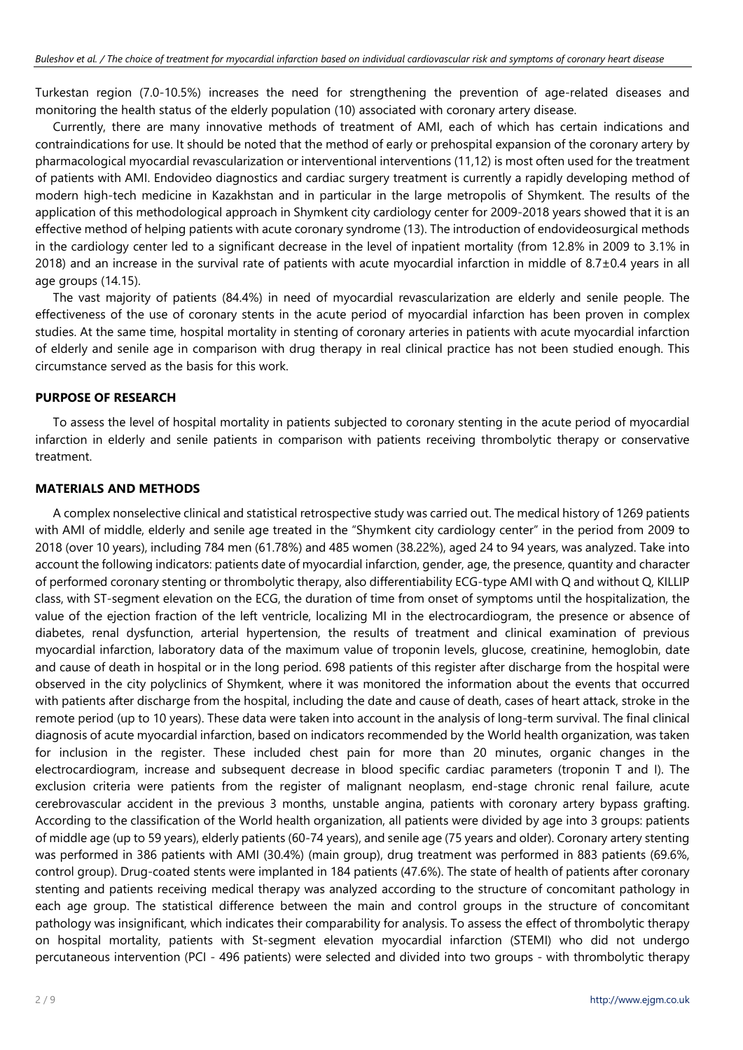Turkestan region (7.0-10.5%) increases the need for strengthening the prevention of age-related diseases and monitoring the health status of the elderly population (10) associated with coronary artery disease.

Currently, there are many innovative methods of treatment of AMI, each of which has certain indications and contraindications for use. It should be noted that the method of early or prehospital expansion of the coronary artery by pharmacological myocardial revascularization or interventional interventions (11,12) is most often used for the treatment of patients with AMI. Endovideo diagnostics and cardiac surgery treatment is currently a rapidly developing method of modern high-tech medicine in Kazakhstan and in particular in the large metropolis of Shymkent. The results of the application of this methodological approach in Shymkent city cardiology center for 2009-2018 years showed that it is an effective method of helping patients with acute coronary syndrome (13). The introduction of endovideosurgical methods in the cardiology center led to a significant decrease in the level of inpatient mortality (from 12.8% in 2009 to 3.1% in 2018) and an increase in the survival rate of patients with acute myocardial infarction in middle of  $8.7\pm0.4$  years in all age groups (14.15).

The vast majority of patients (84.4%) in need of myocardial revascularization are elderly and senile people. The effectiveness of the use of coronary stents in the acute period of myocardial infarction has been proven in complex studies. At the same time, hospital mortality in stenting of coronary arteries in patients with acute myocardial infarction of elderly and senile age in comparison with drug therapy in real clinical practice has not been studied enough. This circumstance served as the basis for this work.

## **PURPOSE OF RESEARCH**

To assess the level of hospital mortality in patients subjected to coronary stenting in the acute period of myocardial infarction in elderly and senile patients in comparison with patients receiving thrombolytic therapy or conservative treatment.

## **MATERIALS AND METHODS**

A complex nonselective clinical and statistical retrospective study was carried out. The medical history of 1269 patients with AMI of middle, elderly and senile age treated in the "Shymkent city cardiology center" in the period from 2009 to 2018 (over 10 years), including 784 men (61.78%) and 485 women (38.22%), aged 24 to 94 years, was analyzed. Take into account the following indicators: patients date of myocardial infarction, gender, age, the presence, quantity and character of performed coronary stenting or thrombolytic therapy, also differentiability ECG-type AMI with Q and without Q, KILLIP class, with ST-segment elevation on the ECG, the duration of time from onset of symptoms until the hospitalization, the value of the ejection fraction of the left ventricle, localizing MI in the electrocardiogram, the presence or absence of diabetes, renal dysfunction, arterial hypertension, the results of treatment and clinical examination of previous myocardial infarction, laboratory data of the maximum value of troponin levels, glucose, creatinine, hemoglobin, date and cause of death in hospital or in the long period. 698 patients of this register after discharge from the hospital were observed in the city polyclinics of Shymkent, where it was monitored the information about the events that occurred with patients after discharge from the hospital, including the date and cause of death, cases of heart attack, stroke in the remote period (up to 10 years). These data were taken into account in the analysis of long-term survival. The final clinical diagnosis of acute myocardial infarction, based on indicators recommended by the World health organization, was taken for inclusion in the register. These included chest pain for more than 20 minutes, organic changes in the electrocardiogram, increase and subsequent decrease in blood specific cardiac parameters (troponin T and I). The exclusion criteria were patients from the register of malignant neoplasm, end-stage chronic renal failure, acute cerebrovascular accident in the previous 3 months, unstable angina, patients with coronary artery bypass grafting. According to the classification of the World health organization, all patients were divided by age into 3 groups: patients of middle age (up to 59 years), elderly patients (60-74 years), and senile age (75 years and older). Coronary artery stenting was performed in 386 patients with AMI (30.4%) (main group), drug treatment was performed in 883 patients (69.6%, control group). Drug-coated stents were implanted in 184 patients (47.6%). The state of health of patients after coronary stenting and patients receiving medical therapy was analyzed according to the structure of concomitant pathology in each age group. The statistical difference between the main and control groups in the structure of concomitant pathology was insignificant, which indicates their comparability for analysis. To assess the effect of thrombolytic therapy on hospital mortality, patients with St-segment elevation myocardial infarction (STEMI) who did not undergo percutaneous intervention (PCI - 496 patients) were selected and divided into two groups - with thrombolytic therapy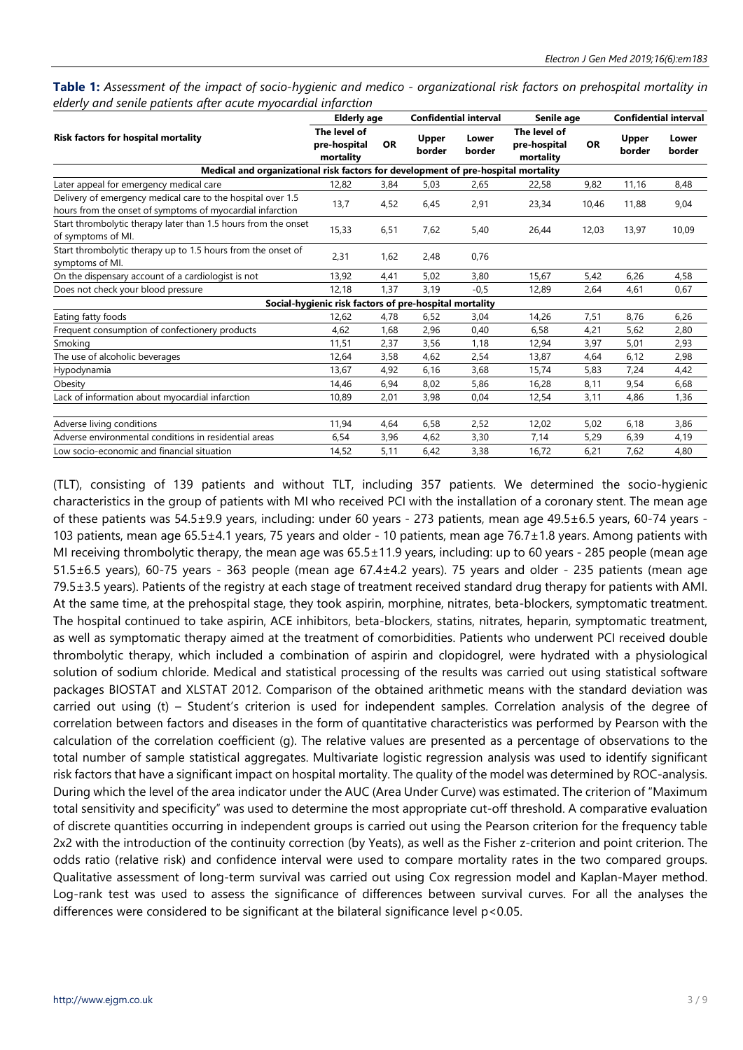Table 1: Assessment of the impact of socio-hygienic and medico - organizational risk factors on prehospital mortality in *elderly and senile patients after acute myocardial infarction*

|                                                                                                                          | <b>Elderly age</b>                                     |           |                        | <b>Confidential interval</b> | Senile age                                |           | <b>Confidential interval</b> |                 |
|--------------------------------------------------------------------------------------------------------------------------|--------------------------------------------------------|-----------|------------------------|------------------------------|-------------------------------------------|-----------|------------------------------|-----------------|
| Risk factors for hospital mortality                                                                                      | The level of<br>pre-hospital<br>mortality              | <b>OR</b> | <b>Upper</b><br>border | Lower<br>border              | The level of<br>pre-hospital<br>mortality | <b>OR</b> | Upper<br>border              | Lower<br>border |
| Medical and organizational risk factors for development of pre-hospital mortality                                        |                                                        |           |                        |                              |                                           |           |                              |                 |
| Later appeal for emergency medical care                                                                                  | 12,82                                                  | 3,84      | 5,03                   | 2,65                         | 22,58                                     | 9,82      | 11,16                        | 8,48            |
| Delivery of emergency medical care to the hospital over 1.5<br>hours from the onset of symptoms of myocardial infarction | 13,7                                                   | 4,52      | 6,45                   | 2,91                         | 23,34                                     | 10,46     | 11,88                        | 9,04            |
| Start thrombolytic therapy later than 1.5 hours from the onset<br>of symptoms of MI.                                     | 15,33                                                  | 6,51      | 7,62                   | 5,40                         | 26,44                                     | 12,03     | 13,97                        | 10,09           |
| Start thrombolytic therapy up to 1.5 hours from the onset of<br>symptoms of MI.                                          | 2,31                                                   | 1,62      | 2,48                   | 0,76                         |                                           |           |                              |                 |
| On the dispensary account of a cardiologist is not                                                                       | 13,92                                                  | 4,41      | 5,02                   | 3,80                         | 15,67                                     | 5,42      | 6,26                         | 4,58            |
| Does not check your blood pressure                                                                                       | 12,18                                                  | 1,37      | 3,19                   | $-0,5$                       | 12,89                                     | 2,64      | 4,61                         | 0,67            |
|                                                                                                                          | Social-hygienic risk factors of pre-hospital mortality |           |                        |                              |                                           |           |                              |                 |
| Eating fatty foods                                                                                                       | 12,62                                                  | 4,78      | 6,52                   | 3,04                         | 14,26                                     | 7,51      | 8,76                         | 6,26            |
| Frequent consumption of confectionery products                                                                           | 4,62                                                   | 1,68      | 2,96                   | 0,40                         | 6,58                                      | 4,21      | 5,62                         | 2,80            |
| Smoking                                                                                                                  | 11,51                                                  | 2,37      | 3,56                   | 1,18                         | 12,94                                     | 3,97      | 5,01                         | 2,93            |
| The use of alcoholic beverages                                                                                           | 12,64                                                  | 3,58      | 4,62                   | 2,54                         | 13,87                                     | 4,64      | 6,12                         | 2,98            |
| Hypodynamia                                                                                                              | 13,67                                                  | 4,92      | 6,16                   | 3,68                         | 15,74                                     | 5,83      | 7,24                         | 4,42            |
| Obesity                                                                                                                  | 14,46                                                  | 6,94      | 8,02                   | 5,86                         | 16,28                                     | 8,11      | 9,54                         | 6,68            |
| Lack of information about myocardial infarction                                                                          | 10,89                                                  | 2,01      | 3,98                   | 0,04                         | 12,54                                     | 3,11      | 4,86                         | 1,36            |
| Adverse living conditions                                                                                                | 11,94                                                  | 4,64      | 6,58                   | 2,52                         | 12,02                                     | 5,02      | 6,18                         | 3,86            |
| Adverse environmental conditions in residential areas                                                                    | 6,54                                                   | 3,96      | 4,62                   | 3,30                         | 7,14                                      | 5,29      | 6,39                         | 4,19            |
| Low socio-economic and financial situation                                                                               | 14,52                                                  | 5,11      | 6,42                   | 3,38                         | 16,72                                     | 6,21      | 7,62                         | 4,80            |

(TLT), consisting of 139 patients and without TLT, including 357 patients. We determined the socio-hygienic characteristics in the group of patients with MI who received PCI with the installation of a coronary stent. The mean age of these patients was 54.5±9.9 years, including: under 60 years - 273 patients, mean age 49.5±6.5 years, 60-74 years - 103 patients, mean age 65.5±4.1 years, 75 years and older - 10 patients, mean age 76.7±1.8 years. Among patients with MI receiving thrombolytic therapy, the mean age was 65.5±11.9 years, including: up to 60 years - 285 people (mean age 51.5±6.5 years), 60-75 years - 363 people (mean age 67.4±4.2 years). 75 years and older - 235 patients (mean age 79.5±3.5 years). Patients of the registry at each stage of treatment received standard drug therapy for patients with AMI. At the same time, at the prehospital stage, they took aspirin, morphine, nitrates, beta-blockers, symptomatic treatment. The hospital continued to take aspirin, ACE inhibitors, beta-blockers, statins, nitrates, heparin, symptomatic treatment, as well as symptomatic therapy aimed at the treatment of comorbidities. Patients who underwent PCI received double thrombolytic therapy, which included a combination of aspirin and clopidogrel, were hydrated with a physiological solution of sodium chloride. Medical and statistical processing of the results was carried out using statistical software packages BIOSTAT and XLSTAT 2012. Comparison of the obtained arithmetic means with the standard deviation was carried out using (t) – Student's criterion is used for independent samples. Correlation analysis of the degree of correlation between factors and diseases in the form of quantitative characteristics was performed by Pearson with the calculation of the correlation coefficient (g). The relative values are presented as a percentage of observations to the total number of sample statistical aggregates. Multivariate logistic regression analysis was used to identify significant risk factors that have a significant impact on hospital mortality. The quality of the model was determined by ROC-analysis. During which the level of the area indicator under the AUC (Area Under Curve) was estimated. The criterion of "Maximum total sensitivity and specificity" was used to determine the most appropriate cut-off threshold. A comparative evaluation of discrete quantities occurring in independent groups is carried out using the Pearson criterion for the frequency table 2x2 with the introduction of the continuity correction (by Yeats), as well as the Fisher z-criterion and point criterion. The odds ratio (relative risk) and confidence interval were used to compare mortality rates in the two compared groups. Qualitative assessment of long-term survival was carried out using Cox regression model and Kaplan-Mayer method. Log-rank test was used to assess the significance of differences between survival curves. For all the analyses the differences were considered to be significant at the bilateral significance level p<0.05.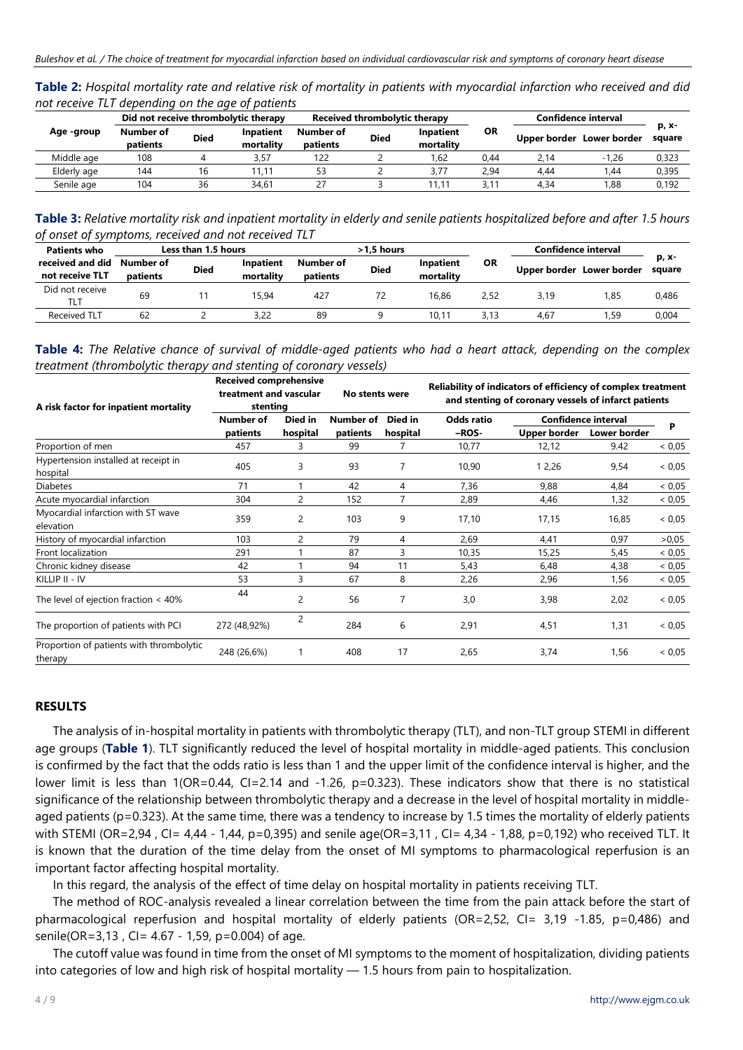| Table 2: Hospital mortality rate and relative risk of mortality in patients with myocardial infarction who received and did |  |  |
|-----------------------------------------------------------------------------------------------------------------------------|--|--|
| not receive TLT depending on the age of patients                                                                            |  |  |

|             | Did not receive thrombolytic therapy |             |                        |                       | Received thrombolytic therapy<br>Confidence interval |                        |      |      |                           |                 |
|-------------|--------------------------------------|-------------|------------------------|-----------------------|------------------------------------------------------|------------------------|------|------|---------------------------|-----------------|
| Age -group  | Number of<br>patients                | <b>Died</b> | Inpatient<br>mortality | Number of<br>patients | <b>Died</b>                                          | Inpatient<br>mortality | ΟR   |      | Upper border Lower border | р, х-<br>square |
| Middle age  | 108                                  |             | 3.57                   | 122                   |                                                      | .62                    | 0.44 | 2.14 | $-1.26$                   | 0,323           |
| Elderly age | 144                                  | 16          | 11.11                  | 53                    |                                                      | 3.77                   | 2,94 | 4.44 | 44.                       | 0,395           |
| Senile age  | 104                                  | 36          | 34.61                  |                       |                                                      | 11.11                  | 3.11 | 4.34 | 1.88                      | 0.192           |

Table 3: Relative mortality risk and inpatient mortality in elderly and senile patients hospitalized before and after 1.5 hours *of onset of symptoms, received and not received TLT*

| <b>Patients who</b>                 | Less than 1.5 hours   |             |                        |                       | $>1.5$ hours |                        |           | Confidence interval |                           |                 |  |
|-------------------------------------|-----------------------|-------------|------------------------|-----------------------|--------------|------------------------|-----------|---------------------|---------------------------|-----------------|--|
| received and did<br>not receive TLT | Number of<br>patients | <b>Died</b> | Inpatient<br>mortality | Number of<br>patients | <b>Died</b>  | Inpatient<br>mortality | <b>OR</b> |                     | Upper border Lower border | р, х-<br>square |  |
| Did not receive<br>TLT              | 69                    |             | 15.94                  | 427                   |              | 16.86                  | 2.52      | 3.19                | 1.85                      | 0.486           |  |
| <b>Received TLT</b>                 | 62                    |             | 3.22                   | 89                    |              | 10.11                  | 3.13      | 4.67                | 59.ا                      | 0,004           |  |

Table 4: The Relative chance of survival of middle-aged patients who had a heart attack, depending on the complex *treatment (thrombolytic therapy and stenting of coronary vessels)*

| A risk factor for inpatient mortality               | <b>Received comprehensive</b><br>treatment and vascular<br>stenting |                | No stents were |          | Reliability of indicators of efficiency of complex treatment<br>and stenting of coronary vessels of infarct patients |                              |       |        |  |
|-----------------------------------------------------|---------------------------------------------------------------------|----------------|----------------|----------|----------------------------------------------------------------------------------------------------------------------|------------------------------|-------|--------|--|
|                                                     | Number of                                                           | Died in        | Number of      | Died in  | <b>Odds ratio</b>                                                                                                    | Confidence interval          | P     |        |  |
|                                                     | patients                                                            | hospital       | patients       | hospital | -ROS-                                                                                                                | Upper border<br>Lower border |       |        |  |
| Proportion of men                                   | 457                                                                 | 3              | 99             |          | 10,77                                                                                                                | 12,12                        | 9.42  | < 0.05 |  |
| Hypertension installed at receipt in<br>hospital    | 405                                                                 | 3              | 93             |          | 10,90                                                                                                                | 1 2,26                       | 9,54  | < 0.05 |  |
| <b>Diabetes</b>                                     | 71                                                                  |                | 42             | 4        | 7,36                                                                                                                 | 9,88                         | 4,84  | < 0.05 |  |
| Acute myocardial infarction                         | 304                                                                 | 2              | 152            |          | 2,89                                                                                                                 | 4,46                         | 1,32  | < 0.05 |  |
| Myocardial infarction with ST wave<br>elevation     | 359                                                                 | 2              | 103            | 9        | 17,10                                                                                                                | 17,15                        | 16,85 | < 0.05 |  |
| History of myocardial infarction                    | 103                                                                 | $\overline{c}$ | 79             | 4        | 2,69                                                                                                                 | 4,41                         | 0,97  | > 0.05 |  |
| Front localization                                  | 291                                                                 |                | 87             | 3        | 10,35                                                                                                                | 15,25                        | 5,45  | < 0.05 |  |
| Chronic kidney disease                              | 42                                                                  |                | 94             | 11       | 5,43                                                                                                                 | 6,48                         | 4,38  | < 0.05 |  |
| KILLIP II - IV                                      | 53                                                                  | 3              | 67             | 8        | 2,26                                                                                                                 | 2,96                         | 1,56  | < 0.05 |  |
| The level of ejection fraction $<$ 40%              | 44                                                                  | 2              | 56             | 7        | 3,0                                                                                                                  | 3,98                         | 2,02  | < 0.05 |  |
| The proportion of patients with PCI                 | 272 (48,92%)                                                        | 2              | 284            | 6        | 2,91                                                                                                                 | 4,51                         | 1,31  | < 0.05 |  |
| Proportion of patients with thrombolytic<br>therapy | 248 (26,6%)                                                         |                | 408            | 17       | 2,65                                                                                                                 | 3,74                         | 1,56  | < 0.05 |  |

## **RESULTS**

The analysis of in-hospital mortality in patients with thrombolytic therapy (TLT), and non-TLT group STEMI in different age groups (**Table 1**). TLT significantly reduced the level of hospital mortality in middle-aged patients. This conclusion is confirmed by the fact that the odds ratio is less than 1 and the upper limit of the confidence interval is higher, and the lower limit is less than 1(OR=0.44, CI=2.14 and -1.26, p=0.323). These indicators show that there is no statistical significance of the relationship between thrombolytic therapy and a decrease in the level of hospital mortality in middleaged patients (p=0.323). At the same time, there was a tendency to increase by 1.5 times the mortality of elderly patients with STEMI (OR=2,94, CI= 4,44 - 1,44, p=0,395) and senile age(OR=3,11, CI= 4,34 - 1,88, p=0,192) who received TLT. It is known that the duration of the time delay from the onset of MI symptoms to pharmacological reperfusion is an important factor affecting hospital mortality.

In this regard, the analysis of the effect of time delay on hospital mortality in patients receiving TLT.

The method of ROC-analysis revealed a linear correlation between the time from the pain attack before the start of pharmacological reperfusion and hospital mortality of elderly patients (ОR=2,52, CI= 3,19 -1.85, p=0,486) and senile(OR=3,13, CI= 4.67 - 1,59, p=0.004) of age.

The cutoff value was found in time from the onset of MI symptoms to the moment of hospitalization, dividing patients into categories of low and high risk of hospital mortality — 1.5 hours from pain to hospitalization.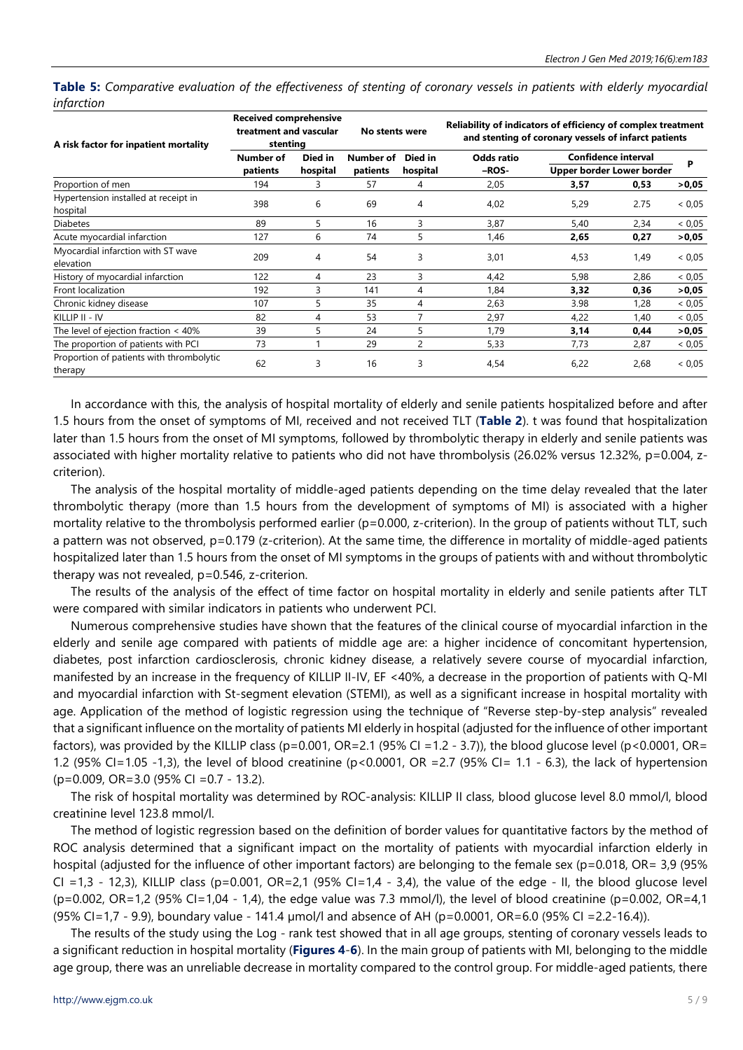Table 5: Comparative evaluation of the effectiveness of stenting of coronary vessels in patients with elderly myocardial *infarction*

| A risk factor for inpatient mortality               | <b>Received comprehensive</b><br>treatment and vascular<br>stenting |          | No stents were |                     | Reliability of indicators of efficiency of complex treatment<br>and stenting of coronary vessels of infarct patients |      |                           |        |  |
|-----------------------------------------------------|---------------------------------------------------------------------|----------|----------------|---------------------|----------------------------------------------------------------------------------------------------------------------|------|---------------------------|--------|--|
|                                                     | Number of                                                           | Died in  | Number of      | Died in<br>hospital | Odds ratio                                                                                                           |      | Confidence interval       | P      |  |
|                                                     | patients                                                            | hospital | patients       |                     | -ROS-                                                                                                                |      | Upper border Lower border |        |  |
| Proportion of men                                   | 194                                                                 | 3        | 57             | 4                   | 2,05                                                                                                                 | 3,57 | 0,53                      | >0,05  |  |
| Hypertension installed at receipt in<br>hospital    | 398                                                                 | 6        | 69             | 4                   | 4,02                                                                                                                 | 5,29 | 2.75                      | < 0.05 |  |
| <b>Diabetes</b>                                     | 89                                                                  | 5        | 16             | 3                   | 3,87                                                                                                                 | 5,40 | 2,34                      | < 0.05 |  |
| Acute myocardial infarction                         | 127                                                                 | 6        | 74             | 5                   | 1,46                                                                                                                 | 2,65 | 0,27                      | >0,05  |  |
| Myocardial infarction with ST wave<br>elevation     | 209                                                                 | 4        | 54             | 3                   | 3,01                                                                                                                 | 4,53 | 1,49                      | < 0.05 |  |
| History of myocardial infarction                    | 122                                                                 | 4        | 23             | 3                   | 4,42                                                                                                                 | 5,98 | 2,86                      | < 0.05 |  |
| Front localization                                  | 192                                                                 | 3        | 141            | 4                   | 1,84                                                                                                                 | 3,32 | 0,36                      | >0,05  |  |
| Chronic kidney disease                              | 107                                                                 | 5        | 35             | 4                   | 2,63                                                                                                                 | 3.98 | 1,28                      | < 0.05 |  |
| KILLIP II - IV                                      | 82                                                                  | 4        | 53             |                     | 2,97                                                                                                                 | 4,22 | 1,40                      | < 0.05 |  |
| The level of ejection fraction $<$ 40%              | 39                                                                  | 5        | 24             | 5                   | 1,79                                                                                                                 | 3,14 | 0,44                      | >0,05  |  |
| The proportion of patients with PCI                 | 73                                                                  |          | 29             | 2                   | 5,33                                                                                                                 | 7,73 | 2,87                      | < 0.05 |  |
| Proportion of patients with thrombolytic<br>therapy | 62                                                                  | 3        | 16             | 3                   | 4,54                                                                                                                 | 6,22 | 2,68                      | < 0.05 |  |

In accordance with this, the analysis of hospital mortality of elderly and senile patients hospitalized before and after 1.5 hours from the onset of symptoms of MI, received and not received TLT (**Table 2**). t was found that hospitalization later than 1.5 hours from the onset of MI symptoms, followed by thrombolytic therapy in elderly and senile patients was associated with higher mortality relative to patients who did not have thrombolysis (26.02% versus 12.32%, p=0.004, zcriterion).

The analysis of the hospital mortality of middle-aged patients depending on the time delay revealed that the later thrombolytic therapy (more than 1.5 hours from the development of symptoms of MI) is associated with a higher mortality relative to the thrombolysis performed earlier (p=0.000, z-criterion). In the group of patients without TLT, such a pattern was not observed, p=0.179 (z-criterion). At the same time, the difference in mortality of middle-aged patients hospitalized later than 1.5 hours from the onset of MI symptoms in the groups of patients with and without thrombolytic therapy was not revealed, p=0.546, z-criterion.

The results of the analysis of the effect of time factor on hospital mortality in elderly and senile patients after TLT were compared with similar indicators in patients who underwent PCI.

Numerous comprehensive studies have shown that the features of the clinical course of myocardial infarction in the elderly and senile age compared with patients of middle age are: a higher incidence of concomitant hypertension, diabetes, post infarction cardiosclerosis, chronic kidney disease, a relatively severe course of myocardial infarction, manifested by an increase in the frequency of KILLIP II-IV, EF <40%, a decrease in the proportion of patients with Q-MI and myocardial infarction with St-segment elevation (STEMI), as well as a significant increase in hospital mortality with age. Application of the method of logistic regression using the technique of "Reverse step-by-step analysis" revealed that a significant influence on the mortality of patients MI elderly in hospital (adjusted for the influence of other important factors), was provided by the KILLIP class (p=0.001, OR=2.1 (95% CI =1.2 - 3.7)), the blood glucose level (p<0.0001, OR= 1.2 (95% CI=1.05 -1,3), the level of blood creatinine ( $p<0.0001$ , OR =2.7 (95% CI= 1.1 - 6.3), the lack of hypertension (p=0.009, ОR=3.0 (95% CI =0.7 - 13.2).

The risk of hospital mortality was determined by ROC-analysis: KILLIP II class, blood glucose level 8.0 mmol/l, blood creatinine level 123.8 mmol/l.

The method of logistic regression based on the definition of border values for quantitative factors by the method of ROC analysis determined that a significant impact on the mortality of patients with myocardial infarction elderly in hospital (adjusted for the influence of other important factors) are belonging to the female sex (p=0.018, OR= 3,9 (95% CI =1,3 - 12,3), KILLIP class (p=0.001, OR=2,1 (95% CI=1,4 - 3,4), the value of the edge - II, the blood glucose level  $(p=0.002, \text{ OR} = 1, 2 \text{ (95\% CI} = 1, 04 - 1, 4)$ , the edge value was 7.3 mmol/l), the level of blood creatinine (p=0.002,  $\text{ OR} = 4, 1$ (95% CI=1,7 - 9.9), boundary value - 141.4 µmol/l and absence of AH (p=0.0001, OR=6.0 (95% CI =2.2-16.4)).

The results of the study using the Log - rank test showed that in all age groups, stenting of coronary vessels leads to a significant reduction in hospital mortality (**Figures 4**-**6**). In the main group of patients with MI, belonging to the middle age group, there was an unreliable decrease in mortality compared to the control group. For middle-aged patients, there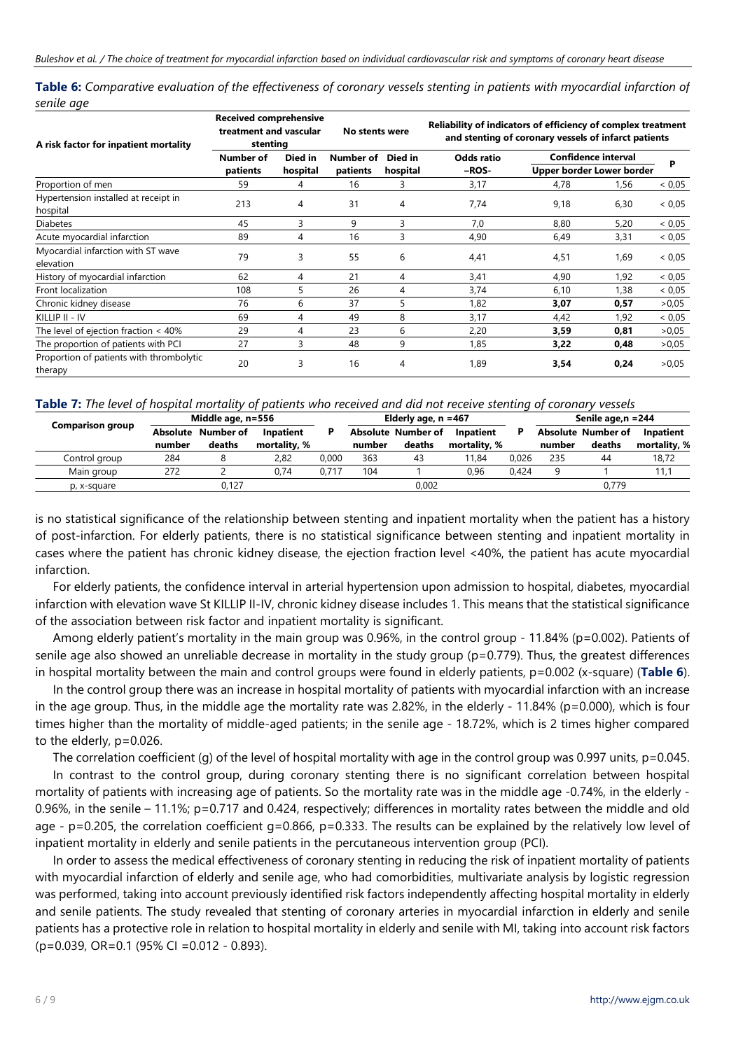| Table 6: Comparative evaluation of the effectiveness of coronary vessels stenting in patients with myocardial infarction of |  |  |  |
|-----------------------------------------------------------------------------------------------------------------------------|--|--|--|
| senile age                                                                                                                  |  |  |  |

| A risk factor for inpatient mortality               | <b>Received comprehensive</b><br>treatment and vascular<br>stenting |          | No stents were |                     | Reliability of indicators of efficiency of complex treatment<br>and stenting of coronary vessels of infarct patients |      |                            |        |  |
|-----------------------------------------------------|---------------------------------------------------------------------|----------|----------------|---------------------|----------------------------------------------------------------------------------------------------------------------|------|----------------------------|--------|--|
|                                                     | Number of                                                           | Died in  | Number of      | Died in<br>hospital | Odds ratio                                                                                                           |      | <b>Confidence interval</b> | P      |  |
|                                                     | patients                                                            | hospital | patients       |                     | -ROS-                                                                                                                |      | Upper border Lower border  |        |  |
| Proportion of men                                   | 59                                                                  | 4        | 16             | 3                   | 3,17                                                                                                                 | 4,78 | 1,56                       | < 0.05 |  |
| Hypertension installed at receipt in<br>hospital    | 213                                                                 | 4        | 31             | 4                   | 7,74                                                                                                                 | 9,18 | 6,30                       | < 0.05 |  |
| <b>Diabetes</b>                                     | 45                                                                  | 3        | 9              | 3                   | 7,0                                                                                                                  | 8,80 | 5,20                       | < 0.05 |  |
| Acute myocardial infarction                         | 89                                                                  | 4        | 16             | 3                   | 4,90                                                                                                                 | 6,49 | 3,31                       | < 0.05 |  |
| Myocardial infarction with ST wave<br>elevation     | 79                                                                  | 3        | 55             | 6                   | 4,41                                                                                                                 | 4,51 | 1,69                       | < 0.05 |  |
| History of myocardial infarction                    | 62                                                                  | 4        | 21             | 4                   | 3,41                                                                                                                 | 4,90 | 1,92                       | < 0.05 |  |
| Front localization                                  | 108                                                                 | 5        | 26             | 4                   | 3,74                                                                                                                 | 6,10 | 1,38                       | < 0.05 |  |
| Chronic kidney disease                              | 76                                                                  | 6        | 37             | 5                   | 1,82                                                                                                                 | 3,07 | 0,57                       | >0,05  |  |
| KILLIP II - IV                                      | 69                                                                  | 4        | 49             | 8                   | 3,17                                                                                                                 | 4,42 | 1,92                       | < 0.05 |  |
| The level of ejection fraction $<$ 40%              | 29                                                                  | 4        | 23             | 6                   | 2,20                                                                                                                 | 3,59 | 0,81                       | >0,05  |  |
| The proportion of patients with PCI                 | 27                                                                  | 3        | 48             | 9                   | 1,85                                                                                                                 | 3,22 | 0,48                       | > 0.05 |  |
| Proportion of patients with thrombolytic<br>therapy | 20                                                                  | 3        | 16             | 4                   | 1,89                                                                                                                 | 3,54 | 0,24                       | > 0.05 |  |

#### Table 7: The level of hospital mortality of patients who received and did not receive stenting of coronary vessels

| <b>Comparison group</b> |                 | Middle age, n=556 |              |       | Elderly age, $n = 467$ |                           |              |       | Senile age, $n = 244$ |                    |              |
|-------------------------|-----------------|-------------------|--------------|-------|------------------------|---------------------------|--------------|-------|-----------------------|--------------------|--------------|
|                         | <b>Absolute</b> | Number of         | Inpatient    |       |                        | <b>Absolute Number of</b> | Inpatient    |       |                       | Absolute Number of | Inpatient    |
|                         | number          | deaths            | mortality. % |       | number                 | deaths                    | mortality. % |       | number                | deaths             | mortality, % |
| Control group           | 284             |                   | 2.82         | 0.000 | 363                    | 43                        | 11.84        | 0.026 | 235                   | 44                 | 18,72        |
| Main group              | 272             |                   | 0.74         | 0.717 | 104                    |                           | 0.96         | 0.424 |                       |                    | 11.1         |
| p, x-square             |                 | Ა.127             |              |       |                        | 0,002                     |              |       |                       | 0.779              |              |

is no statistical significance of the relationship between stenting and inpatient mortality when the patient has a history of post-infarction. For elderly patients, there is no statistical significance between stenting and inpatient mortality in cases where the patient has chronic kidney disease, the ejection fraction level <40%, the patient has acute myocardial infarction.

For elderly patients, the confidence interval in arterial hypertension upon admission to hospital, diabetes, myocardial infarction with elevation wave St KILLIP II-IV, chronic kidney disease includes 1. This means that the statistical significance of the association between risk factor and inpatient mortality is significant.

Among elderly patient's mortality in the main group was 0.96%, in the control group - 11.84% (p=0.002). Patients of senile age also showed an unreliable decrease in mortality in the study group (p=0.779). Thus, the greatest differences in hospital mortality between the main and control groups were found in elderly patients, p=0.002 (x-square) (**Table 6**).

In the control group there was an increase in hospital mortality of patients with myocardial infarction with an increase in the age group. Thus, in the middle age the mortality rate was 2.82%, in the elderly - 11.84% (p=0.000), which is four times higher than the mortality of middle-aged patients; in the senile age - 18.72%, which is 2 times higher compared to the elderly, p=0.026.

The correlation coefficient (g) of the level of hospital mortality with age in the control group was 0.997 units, p=0.045.

In contrast to the control group, during coronary stenting there is no significant correlation between hospital mortality of patients with increasing age of patients. So the mortality rate was in the middle age -0.74%, in the elderly - 0.96%, in the senile – 11.1%; p=0.717 and 0.424, respectively; differences in mortality rates between the middle and old age - p=0.205, the correlation coefficient  $q=0.866$ , p=0.333. The results can be explained by the relatively low level of inpatient mortality in elderly and senile patients in the percutaneous intervention group (PCI).

In order to assess the medical effectiveness of coronary stenting in reducing the risk of inpatient mortality of patients with myocardial infarction of elderly and senile age, who had comorbidities, multivariate analysis by logistic regression was performed, taking into account previously identified risk factors independently affecting hospital mortality in elderly and senile patients. The study revealed that stenting of coronary arteries in myocardial infarction in elderly and senile patients has a protective role in relation to hospital mortality in elderly and senile with MI, taking into account risk factors (p=0.039, OR=0.1 (95% CI =0.012 - 0.893).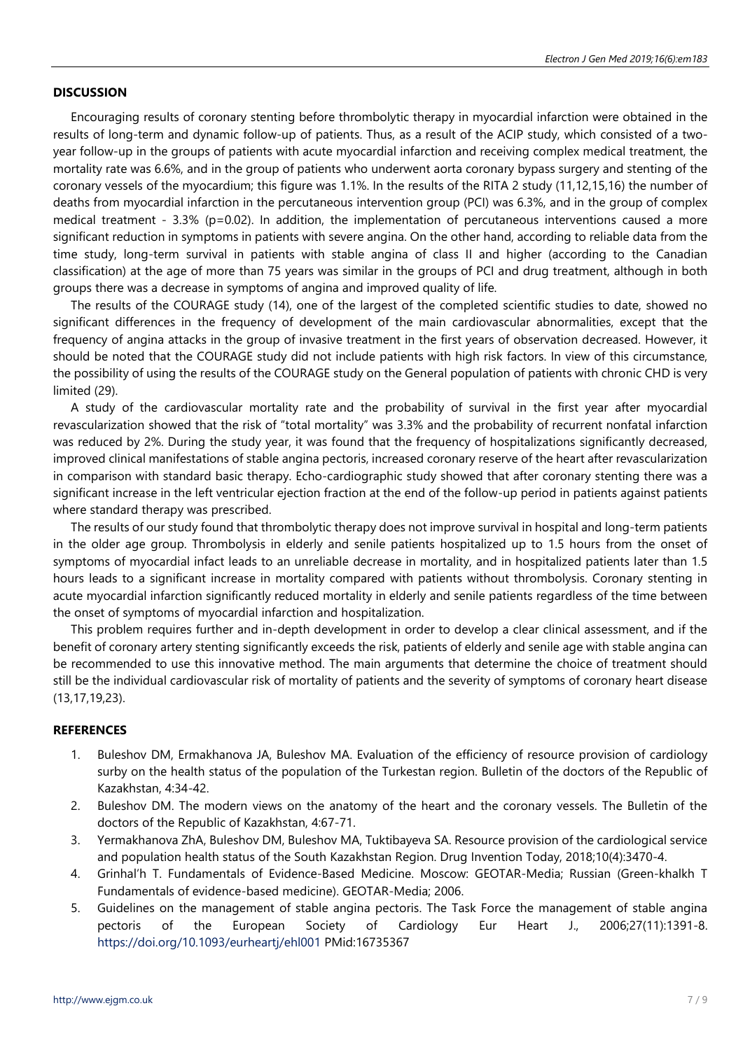## **DISCUSSION**

Encouraging results of coronary stenting before thrombolytic therapy in myocardial infarction were obtained in the results of long-term and dynamic follow-up of patients. Thus, as a result of the ACIP study, which consisted of a twoyear follow-up in the groups of patients with acute myocardial infarction and receiving complex medical treatment, the mortality rate was 6.6%, and in the group of patients who underwent aorta coronary bypass surgery and stenting of the coronary vessels of the myocardium; this figure was 1.1%. In the results of the RITA 2 study (11,12,15,16) the number of deaths from myocardial infarction in the percutaneous intervention group (PCI) was 6.3%, and in the group of complex medical treatment - 3.3% (p=0.02). In addition, the implementation of percutaneous interventions caused a more significant reduction in symptoms in patients with severe angina. On the other hand, according to reliable data from the time study, long-term survival in patients with stable angina of class II and higher (according to the Canadian classification) at the age of more than 75 years was similar in the groups of PCI and drug treatment, although in both groups there was a decrease in symptoms of angina and improved quality of life.

The results of the COURAGE study (14), one of the largest of the completed scientific studies to date, showed no significant differences in the frequency of development of the main cardiovascular abnormalities, except that the frequency of angina attacks in the group of invasive treatment in the first years of observation decreased. However, it should be noted that the COURAGE study did not include patients with high risk factors. In view of this circumstance, the possibility of using the results of the COURAGE study on the General population of patients with chronic CHD is very limited (29).

A study of the cardiovascular mortality rate and the probability of survival in the first year after myocardial revascularization showed that the risk of "total mortality" was 3.3% and the probability of recurrent nonfatal infarction was reduced by 2%. During the study year, it was found that the frequency of hospitalizations significantly decreased, improved clinical manifestations of stable angina pectoris, increased coronary reserve of the heart after revascularization in comparison with standard basic therapy. Echo-cardiographic study showed that after coronary stenting there was a significant increase in the left ventricular ejection fraction at the end of the follow-up period in patients against patients where standard therapy was prescribed.

The results of our study found that thrombolytic therapy does not improve survival in hospital and long-term patients in the older age group. Thrombolysis in elderly and senile patients hospitalized up to 1.5 hours from the onset of symptoms of myocardial infact leads to an unreliable decrease in mortality, and in hospitalized patients later than 1.5 hours leads to a significant increase in mortality compared with patients without thrombolysis. Coronary stenting in acute myocardial infarction significantly reduced mortality in elderly and senile patients regardless of the time between the onset of symptoms of myocardial infarction and hospitalization.

This problem requires further and in-depth development in order to develop a clear clinical assessment, and if the benefit of coronary artery stenting significantly exceeds the risk, patients of elderly and senile age with stable angina can be recommended to use this innovative method. The main arguments that determine the choice of treatment should still be the individual cardiovascular risk of mortality of patients and the severity of symptoms of coronary heart disease (13,17,19,23).

# **REFERENCES**

- 1. Buleshov DM, Ermakhanova JA, Buleshov MA. Evaluation of the efficiency of resource provision of cardiology surby on the health status of the population of the Turkestan region. Bulletin of the doctors of the Republic of Kazakhstan, 4:34-42.
- 2. Buleshov DM. The modern views on the anatomy of the heart and the coronary vessels. The Bulletin of the doctors of the Republic of Kazakhstan, 4:67-71.
- 3. Yermakhanova ZhA, Buleshov DМ, Buleshov MА, Tuktibayeva SA. Resource provision of the cardiological service and population health status of the South Kazakhstan Region. Drug Invention Today, 2018;10(4):3470-4.
- 4. Grinhal'h T. Fundamentals of Evidence-Based Medicine. Moscow: GEOTAR-Media; Russian (Green-khalkh T Fundamentals of evidence-based medicine). GEOTAR-Media; 2006.
- 5. Guidelines on the management of stable angina pectoris. The Task Force the management of stable angina pectoris of the European Society of Cardiology Eur Heart J., 2006;27(11):1391-8. <https://doi.org/10.1093/eurheartj/ehl001> PMid:16735367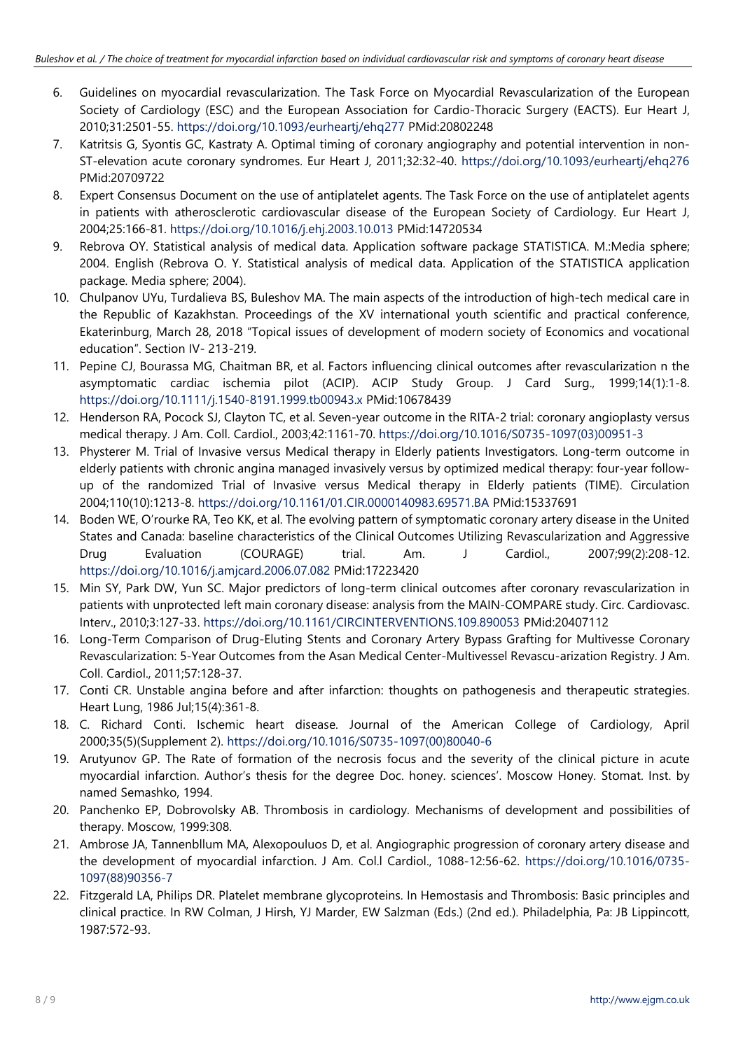- 6. Guidelines on myocardial revascularization. The Task Force on Myocardial Revascularization of the European Society of Cardiology (ESC) and the European Association for Cardio-Thoracic Surgery (EACTS). Eur Heart J, 2010;31:2501-55. <https://doi.org/10.1093/eurheartj/ehq277> PMid:20802248
- 7. Katritsis G, Syontis GC, Kastraty A. Optimal timing of coronary angiography and potential intervention in non-ST-elevation acute coronary syndromes. Eur Heart J, 2011;32:32-40. <https://doi.org/10.1093/eurheartj/ehq276> PMid:20709722
- 8. Expert Consensus Document on the use of antiplatelet agents. The Task Force on the use of antiplatelet agents in patients with atherosclerotic cardiovascular disease of the European Society of Cardiology. Eur Heart J, 2004;25:166-81. <https://doi.org/10.1016/j.ehj.2003.10.013> PMid:14720534
- 9. Rebrova OY. Statistical analysis of medical data. Application software package STATISTICA. M.:Media sphere; 2004. English (Rebrova O. Y. Statistical analysis of medical data. Application of the STATISTICA application package. Media sphere; 2004).
- 10. Chulpanov UYu, Turdalieva BS, Buleshov MA. The main aspects of the introduction of high-tech medical care in the Republic of Kazakhstan. Proceedings of the XV international youth scientific and practical conference, Ekaterinburg, March 28, 2018 "Topical issues of development of modern society of Economics and vocational education". Section IV- 213-219.
- 11. Pepine CJ, Bourassa MG, Chaitman BR, et al. Factors influencing clinical outcomes after revascularization n the asymptomatic cardiac ischemia pilot (ACIP). ACIP Study Group. J Card Surg., 1999;14(1):1-8. <https://doi.org/10.1111/j.1540-8191.1999.tb00943.x> PMid:10678439
- 12. Henderson RA, Pocock SJ, Clayton TC, et al. Seven-year outcome in the RITA-2 trial: coronary angioplasty versus medical therapy. J Am. Coll. Cardiol., 2003;42:1161-70. [https://doi.org/10.1016/S0735-1097\(03\)00951-3](https://doi.org/10.1016/S0735-1097(03)00951-3)
- 13. Physterer M. Trial of Invasive versus Medical therapy in Elderly patients Investigators. Long-term outcome in elderly patients with chronic angina managed invasively versus by optimized medical therapy: four-year followup of the randomized Trial of Invasive versus Medical therapy in Elderly patients (TIME). Circulation 2004;110(10):1213-8. <https://doi.org/10.1161/01.CIR.0000140983.69571.BA> PMid:15337691
- 14. Boden WE, O'rourke RA, Teo KK, et al. The evolving pattern of symptomatic coronary artery disease in the United States and Canada: baseline characteristics of the Clinical Outcomes Utilizing Revascularization and Aggressive Drug Evaluation (COURAGE) trial. Am. J Cardiol., 2007;99(2):208-12. <https://doi.org/10.1016/j.amjcard.2006.07.082> PMid:17223420
- 15. Min SY, Park DW, Yun SC. Major predictors of long-term clinical outcomes after coronary revascularization in patients with unprotected left main coronary disease: analysis from the MAIN-COMPARE study. Circ. Cardiovasc. Interv., 2010;3:127-33. <https://doi.org/10.1161/CIRCINTERVENTIONS.109.890053> PMid:20407112
- 16. Long-Term Comparison of Drug-Eluting Stents and Coronary Artery Bypass Grafting for Multivesse Coronary Revascularization: 5-Year Outcomes from the Asan Medical Center-Multivessel Revascu-arization Registry. J Am. Coll. Cardiol., 2011;57:128-37.
- 17. Conti CR. Unstable angina before and after infarction: thoughts on pathogenesis and therapeutic strategies. Heart Lung, 1986 Jul;15(4):361-8.
- 18. C. Richard Conti. Ischemic heart disease. Journal of the American College of Cardiology, April 2000;35(5)(Supplement 2). [https://doi.org/10.1016/S0735-1097\(00\)80040-6](https://doi.org/10.1016/S0735-1097(00)80040-6)
- 19. Arutyunov GP. The Rate of formation of the necrosis focus and the severity of the clinical picture in acute myocardial infarction. Author's thesis for the degree Doc. honey. sciences'. Moscow Honey. Stomat. Inst. by named Semashko, 1994.
- 20. Panchenko EP, Dobrovolsky AB. Thrombosis in cardiology. Mechanisms of development and possibilities of therapy. Moscow, 1999:308.
- 21. Ambrose JA, Tannenbllum MA, Alexopouluos D, et al. Angiographic progression of coronary artery disease and the development of myocardial infarction. J Am. Col.l Cardiol., 1088-12:56-62. [https://doi.org/10.1016/0735-](https://doi.org/10.1016/0735-1097(88)90356-7) [1097\(88\)90356-7](https://doi.org/10.1016/0735-1097(88)90356-7)
- 22. Fitzgerald LA, Philips DR. Platelet membrane glycoproteins. In Hemostasis and Thrombosis: Basic principles and clinical practice. In RW Colman, J Hirsh, YJ Marder, EW Salzman (Eds.) (2nd ed.). Philadelphia, Pa: JB Lippincott, 1987:572-93.